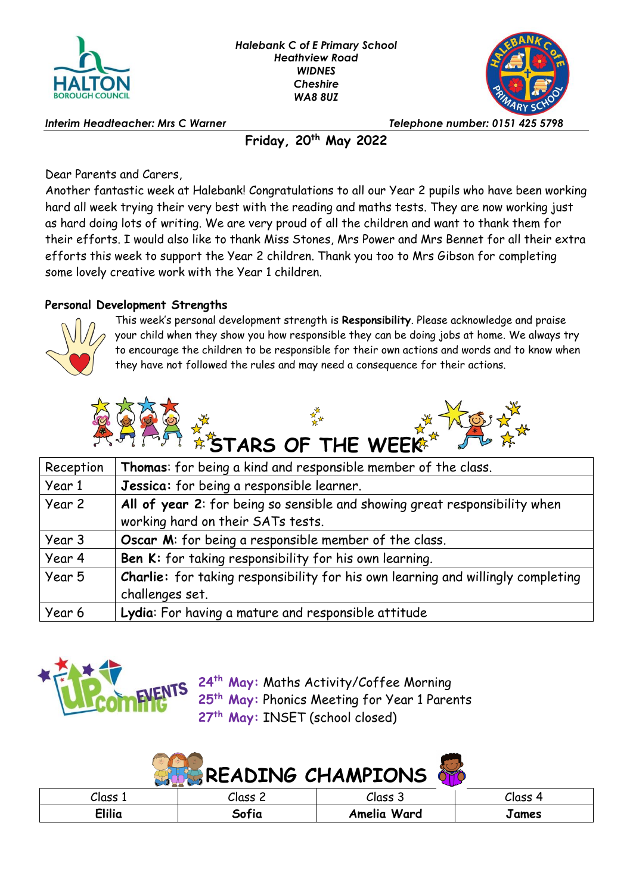



*Interim Headteacher: Mrs C Warner Telephone number: 0151 425 5798*

**Friday, 20th May 2022**

Dear Parents and Carers,

Another fantastic week at Halebank! Congratulations to all our Year 2 pupils who have been working hard all week trying their very best with the reading and maths tests. They are now working just as hard doing lots of writing. We are very proud of all the children and want to thank them for their efforts. I would also like to thank Miss Stones, Mrs Power and Mrs Bennet for all their extra efforts this week to support the Year 2 children. Thank you too to Mrs Gibson for completing some lovely creative work with the Year 1 children.

## **Personal Development Strengths**



This week's personal development strength is **Responsibility**. Please acknowledge and praise your child when they show you how responsible they can be doing jobs at home. We always try to encourage the children to be responsible for their own actions and words and to know when they have not followed the rules and may need a consequence for their actions.



| Reception | Thomas: for being a kind and responsible member of the class.                    |  |  |  |
|-----------|----------------------------------------------------------------------------------|--|--|--|
| Year 1    | Jessica: for being a responsible learner.                                        |  |  |  |
| Year 2    | All of year 2: for being so sensible and showing great responsibility when       |  |  |  |
|           | working hard on their SATs tests.                                                |  |  |  |
| Year 3    | Oscar M: for being a responsible member of the class.                            |  |  |  |
| Year 4    | Ben K: for taking responsibility for his own learning.                           |  |  |  |
| Year 5    | Charlie: for taking responsibility for his own learning and willingly completing |  |  |  |
|           | challenges set.                                                                  |  |  |  |
| Year 6    | Lydia: For having a mature and responsible attitude                              |  |  |  |



**24th May:** Maths Activity/Coffee Morning **25th May:** Phonics Meeting for Year 1 Parents **27th May:** INSET (school closed)

| <b>SHE READING CHAMPIONS</b> |         |             |         |  |
|------------------------------|---------|-------------|---------|--|
| Class 1                      | Class 2 | Class 3     | Class 4 |  |
| <b>Elilia</b>                | Sofia   | Amelia Ward | James   |  |